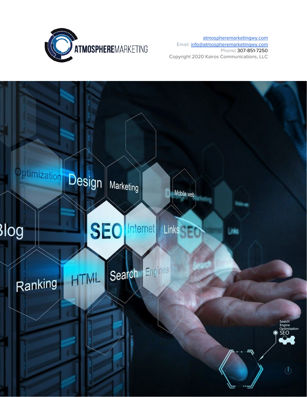

[atmospheremarketingwy.com](https://atmospheremarketingwy.com/) Email: **[info@atmospheremarketingwy.com](mailto: advertising@county10.com)** Phone: 307-851-7250 Copyright 2020 Kairos Communications, LLC

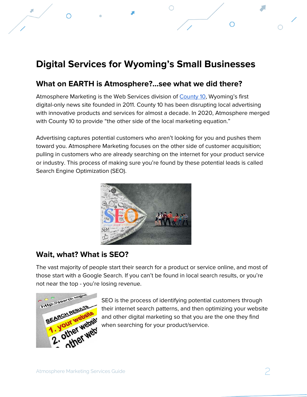# **Digital Services for Wyoming's Small Businesses**

∩

## **What on EARTH is Atmosphere?...see what we did there?**

Atmosphere Marketing is the Web Services division of [County 10](https://county10.com/), Wyoming's first digital-only news site founded in 2011. County 10 has been disrupting local advertising with innovative products and services for almost a decade. In 2020, Atmosphere merged with County 10 to provide "the other side of the local marketing equation."

Advertising captures potential customers who aren't looking for you and pushes them toward you. Atmosphere Marketing focuses on the other side of customer acquisition; pulling in customers who are already searching on the internet for your product service or industry. This process of making sure you're found by these potential leads is called Search Engine Optimization (SEO).



## **Wait, what? What is SEO?**

The vast majority of people start their search for a product or service online, and most of those start with a Google Search. If you can't be found in local search results, or you're not near the top - you're losing revenue.



SEO is the process of identifying potential customers through their internet search patterns, and then optimizing your website and other digital marketing so that you are the one they find when searching for your product/service.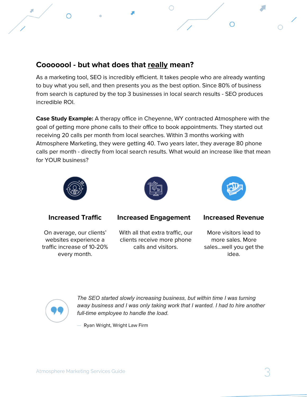# **Cooooool - but what does that really mean?**

As a marketing tool, SEO is incredibly efficient. It takes people who are already wanting to buy what you sell, and then presents you as the best option. Since 80% of business from search is captured by the top 3 businesses in local search results - SEO produces incredible ROI.

**Case Study Example:** A therapy office in Cheyenne, WY contracted Atmosphere with the goal of getting more phone calls to their office to book appointments. They started out receiving 20 calls per month from local searches. Within 3 months working with Atmosphere Marketing, they were getting 40. Two years later, they average 80 phone calls per month - directly from local search results. What would an increase like that mean for YOUR business?







On average, our clients' websites experience a traffic increase of 10-20% every month.

### **Increased Traffic Increased Engagement Increased Revenue**

With all that extra traffic, our clients receive more phone calls and visitors.

# More visitors lead to

more sales. More sales...well you get the idea.



*The SEO started slowly increasing business, but within time I was turning away business and I was only taking work that I wanted. I had to hire another full-time employee to handle the load.*

— Ryan Wright, Wright Law Firm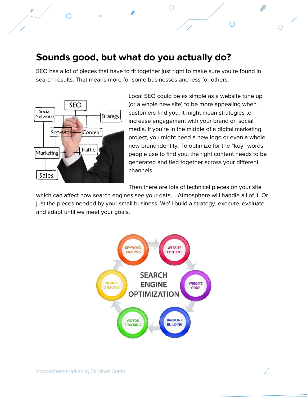# **Sounds good, but what do you actually do?**

SEO has a lot of pieces that have to fit together just right to make sure you're found in search results. That means more for some businesses and less for others.



Local SEO could be as simple as a website tune up (or a whole new site) to be more appealing when customers find you. It might mean strategies to increase engagement with your brand on social media. If you're in the middle of a digital marketing project, you might need a new logo or even a whole new brand identity. To optimize for the "key" words people use to find you, the right content needs to be generated and tied together across your different channels.

Ω

Ο

Then there are lots of technical pieces on your site

which can affect how search engines see your data…. Atmosphere will handle all of it. Or just the pieces needed by your small business. We'll build a strategy, execute, evaluate and adapt until we meet your goals.

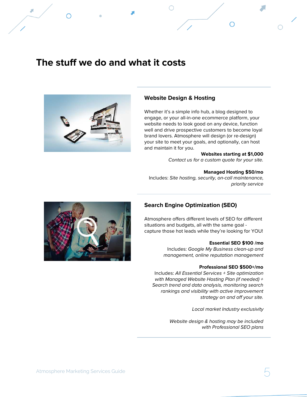# **The stuff we do and what it costs**



#### **Website Design & Hosting**

Whether it's a simple info hub, a blog designed to engage, or your all-in-one ecommerce platform, your website needs to look good on any device, function well and drive prospective customers to become loyal brand lovers. Atmosphere will design (or re-design) your site to meet your goals, and optionally, can host and maintain it for you.

**Websites starting at \$1,000** 

Contact us for a custom quote for your site.

#### **Managed Hosting \$50/mo**

Includes: Site hosting, security, on-call maintenance, priority service



Atmosphere offers different levels of SEO for different situations and budgets, all with the same goal capture those hot leads while they're looking for YOU!

#### **Essential SEO \$100 /mo**

Includes: Google My Business clean-up and management, online reputation management

#### **Professional SEO \$500+/mo**

Includes: All Essential Services + Site optimization with Managed Website Hosting Plan (if needed) + Search trend and data analysis, monitoring search rankings and visibility with active improvement strategy on and off your site.

Local market Industry exclusivity

Website design & hosting may be included with Professional SEO plans

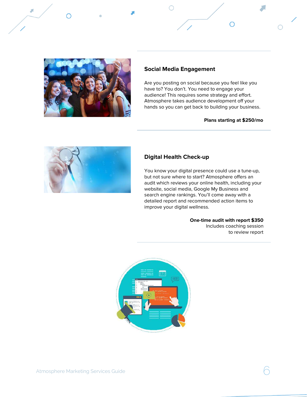

#### **Social Media Engagement**

Are you posting on social because you feel like you have to? You don't. You need to engage your audience! This requires some strategy and effort. Atmosphere takes audience development off your hands so you can get back to building your business.

#### **Plans starting at \$250/mo**

Ο



#### **Digital Health Check-up**

You know your digital presence could use a tune-up, but not sure where to start? Atmosphere offers an audit which reviews your online health, including your website, social media, Google My Business and search engine rankings. You'll come away with a detailed report and recommended action items to improve your digital wellness.

> **One-time audit with report \$350**  Includes coaching session to review report